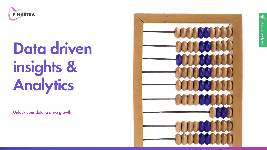

# **Data driven insights & Analytics**

Unlock your data to drive growth

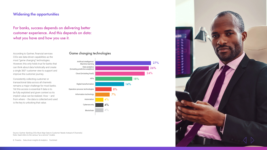# **Widening the opportunities**

For banks, success depends on delivering better customer experience. And this depends on data: what you have and how you use it.

According to Gartner, financial services CIOs see data-driven capabilities as the most "game changing" technologies. However, this only holds true for banks that can think about data holistically and create a single 360° customer view to support and improve the customer journey.

Consistently collecting customer or transactional data across all channels remains a major challenge for most banks. Yet this access is essential if data is to be fully exploited and given context so its implicit value can be realized. How – and from where – the data is collected and used is the key to unlocking that value.





Source: Gartner: Banking CIOs Must Align Data to Customer Needs Instead of Channels) Note: XaaS refers to the various "as a service" models

2 Finastra Data driven insights & Analytics Factsheet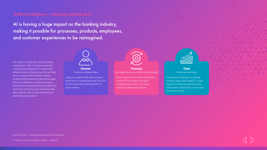AI is having a huge impact on the banking industry, making it possible for processes, products, employees, and customer experiences to be reimagined.

AI's impact on data goes beyond simply unlocking its value. It will give banks the insights and intelligence to create more relevant product and services that will help them to expand their market footprint. AI and machine learning make these goals more cost-efficient to achieve, because they remove manual processes while at the same time producing a far more accurate and insightful view of data from the core and third-party systems.



#### **Human** Transform relationships

Using AI, people will be able to spend more ti[m](http://players.brightcove.net/2456793370001/default_default/index.html?videoId=5485564617001)e on exceptional work: the 20% of no-routine tasks that drive 80% of value creation



#### **Process** Re-imagine business models and processes

Smart machines will continually review end-to-end processes and apply 'intelligent automation of process change' to refine and optimize



#### **Data** Illuminate dark data

Companies will apply AI to greatly enhance large data analytics, evolve algorithms with transactional data faster and combine data in new ways to discover trends

Source: Accenture – Redefining banking with Artificial Intelligence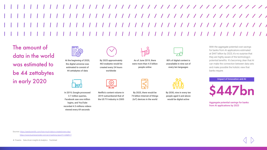# 1 1 1 1 1 1 1 1 1 1 1 1 1 1 1 1 1

The amount of data in the world was estimated to be 44 zettabytes in early 2020



At the beginning of 2020, the digital universe was estimated to consist of 44 zettabytes of data





In 2019, Google processed 3.7 million queries, Facebook saw one million logins, and YouTube recorded 4.5 millions videos viewed every 69 seconds



463 exabytes would be created every 24 hours worldwide

Netflix's content volume in 2019 outnumbered that of the US TV industry in 2005



As of June 2019, there were more than 4.5 billion people online

By 2025, there would be 75 billion Internet-of-things (IoT) devices in the world



80% of digital content is unavailable in nine out of every ten languages



By 2030, nine in every ten people aged 6 and above would be digital active

With the aggregate potential cost savings for banks from AI applications estimated at \$447 billion by 2023, it's no surprise that they are highly aware of the technology's potential benefits. It's becoming clear that AI can make the connection between data sets and make possible the holistic view that banks require.

Impact of Innovation and AI



Aggregate potential savings for banks from AI applications by 2023

Sources: <https://seedscientific.com/how-much-data-is-created-every-day/> <https://www.businessinsider.com/ai-in-banking-report?r=US&IR=T>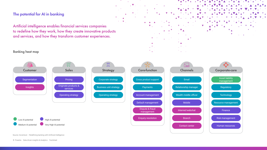# **The potential for AI in banking**

Artificial intelligence enables financial services companies to redefine how they work, how they create innovative products and services, and how they transform customer experiences.

# Banking heat map





 $\bar{\mathbf{v}}$ 

 $\|\boldsymbol{\nabla}\|_{L^2}$ 

Source: Accenture – Redefining banking with Artificial Intelligence

5 Finastra Data driven insights & Analytics Factsheet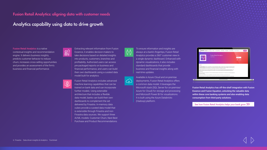# **Fusion Retail Analytics: aligning data with customer needs**

# Analytics capability using data to drive growth

Fusion Retail Analytics is a native contextual insights and recommendation engine. It delivers business insights, predicts customer behavior to reduce churn, increases cross-selling opportunities and provides an assessment of the firm's business and financial performance.



Extracting relevant information from Fusion Essence, it enables decision-makers to take decisions based on detailed insights into products, customers, branches and profitability. Authorized users can access pre-packaged reports on business and financial performance, and users can build their own dashboards using a curated data model built for analytics.

Fusion Retail Analytics includes advanced machine learning capabilities that can be trained on bank data and can incorporate further models. Using extensible architecture that includes a flexible data model, banks can build their own dashboards to complement the set delivered by Finastra. In-memory data cubes provide a curated data model that is extensible through Finastra and non-Finastra data sources. We support three AI/ML models: Customer Churn, Next Best Purchase and Product Recommendations.

To ensure information and insights are always at a bank's fingertips, Fusion Retail Analytics provides a 360° customer view in a single dynamic dashboard. Enhanced with dynamic visualizations, it also includes standard dashboards that provide business and financial insights along with real-time updates.

 $\hat{V}$ 

 $\bigcirc$ 

Available in Azure Cloud and on-premise deployments, Fusion Retail Analytics offers a common data model. It leverages the Microsoft stack (SQL Server for on-premise/ Azure for Cloud) for storage and processing and Microsoft Power BI for visualizations. It is built using the Azure Databricks (Hadoop) platform.



Fusion Retail Analytics has off-the-shelf integration with Fusion Essence and Fusion Equation, unlocking the valuable data within these core banking systems and also enabling data consumption from third-party solutions.

See how Fusion Retail Analytics helps your bank grow XX

6 Finastra Data driven insights & Analytics Factsheet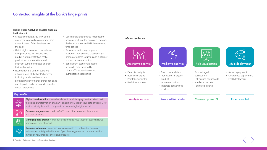# **Contextual insights at the bank's fingerprints**

#### **Fusion Retail Analytics enables financial institutions to:**

- Create a complete 360 view of the customer by providing a near real-time dynamic view of their business with the bank
- Gain insights into customer behavior using advanced ML models that predict customer attrition, make product recommendations and segment customers based on their historic behavior
- Reduce risk and control costs with a holistic view of the bank's business including product utilization and profitability, performance trends for loans and deposits and exposures to specific customers/groups
- Use financial dashboards to reflect the financial health of the bank and compare the balance sheet and P&L between two time periods
- Grow revenue through improved customer retention and cross-selling of products, tailored targeting and customer product recommendations
- Benefit from secure role-based access to data provided by Microsoft's authentication and authorization capabilities

### Main features



## **Key benefits**



 $\mathbb{Q}$ 

**SSS** 

**Digital transformation –** scalable, dynamic analytics plays an important part in the digital transformation of a bank, enabling you exploit your data effectively for business insights and to compete in an increasingly digital world



**Customer engagement –** with a 360° view of the customer, their status and their business

**Managing data growth –** high-performance analytics that can deal with large amounts of data at speed

**Customer retention –** machine learning algorithms that predict customer behavior: especially valuable when Open Banking presents customers with a myriad of new financial offers and products